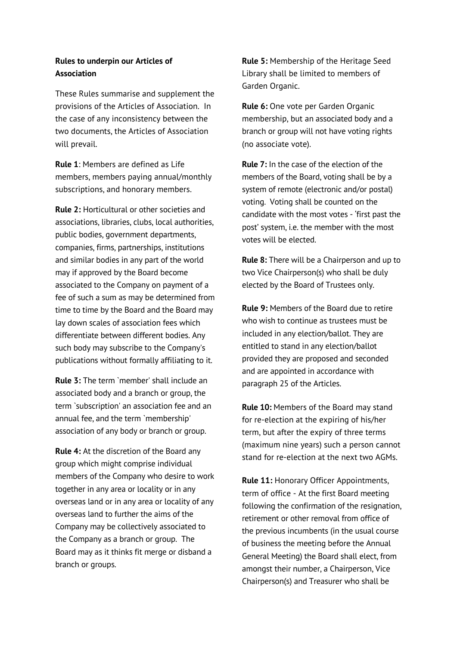## **Rules to underpin our Articles of Association**

These Rules summarise and supplement the provisions of the Articles of Association. In the case of any inconsistency between the two documents, the Articles of Association will prevail.

**Rule 1**: Members are defined as Life members, members paying annual/monthly subscriptions, and honorary members.

**Rule 2:** Horticultural or other societies and associations, libraries, clubs, local authorities, public bodies, government departments, companies, firms, partnerships, institutions and similar bodies in any part of the world may if approved by the Board become associated to the Company on payment of a fee of such a sum as may be determined from time to time by the Board and the Board may lay down scales of association fees which differentiate between different bodies. Any such body may subscribe to the Company's publications without formally affiliating to it.

**Rule 3:** The term `member' shall include an associated body and a branch or group, the term `subscription' an association fee and an annual fee, and the term `membership' association of any body or branch or group.

**Rule 4:** At the discretion of the Board any group which might comprise individual members of the Company who desire to work together in any area or locality or in any overseas land or in any area or locality of any overseas land to further the aims of the Company may be collectively associated to the Company as a branch or group. The Board may as it thinks fit merge or disband a branch or groups.

**Rule 5:** Membership of the Heritage Seed Library shall be limited to members of Garden Organic.

**Rule 6:** One vote per Garden Organic membership, but an associated body and a branch or group will not have voting rights (no associate vote).

**Rule 7:** In the case of the election of the members of the Board, voting shall be by a system of remote (electronic and/or postal) voting. Voting shall be counted on the candidate with the most votes - 'first past the post' system, i.e. the member with the most votes will be elected.

**Rule 8:** There will be a Chairperson and up to two Vice Chairperson(s) who shall be duly elected by the Board of Trustees only.

**Rule 9:** Members of the Board due to retire who wish to continue as trustees must be included in any election/ballot. They are entitled to stand in any election/ballot provided they are proposed and seconded and are appointed in accordance with paragraph 25 of the Articles.

**Rule 10:** Members of the Board may stand for re-election at the expiring of his/her term, but after the expiry of three terms (maximum nine years) such a person cannot stand for re-election at the next two AGMs.

**Rule 11:** Honorary Officer Appointments, term of office - At the first Board meeting following the confirmation of the resignation, retirement or other removal from office of the previous incumbents (in the usual course of business the meeting before the Annual General Meeting) the Board shall elect, from amongst their number, a Chairperson, Vice Chairperson(s) and Treasurer who shall be